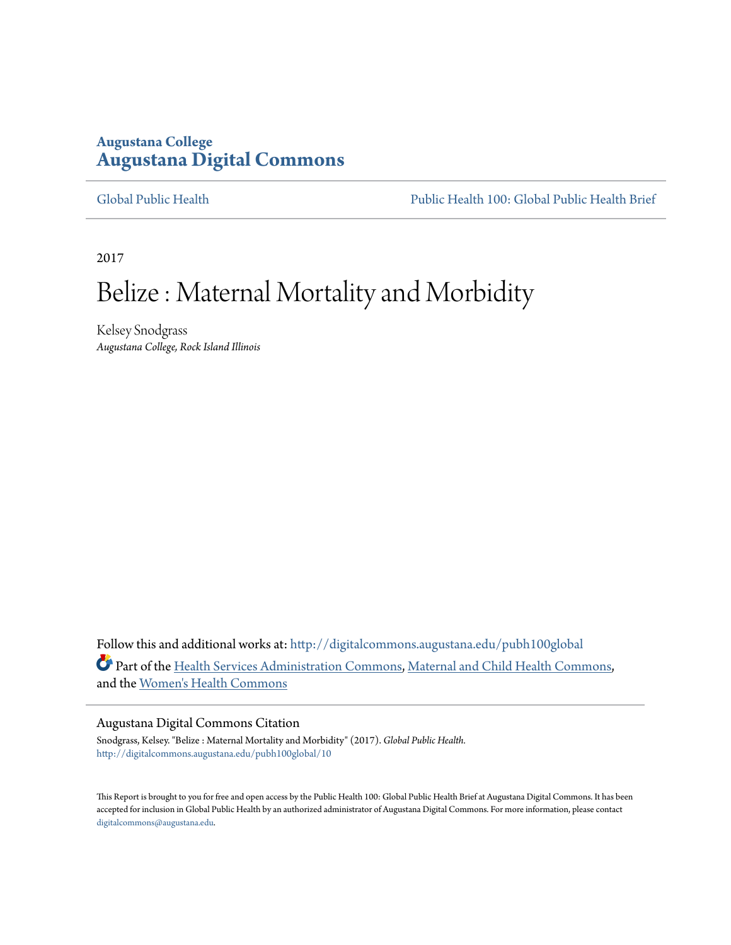### **Augustana College [Augustana Digital Commons](http://digitalcommons.augustana.edu?utm_source=digitalcommons.augustana.edu%2Fpubh100global%2F10&utm_medium=PDF&utm_campaign=PDFCoverPages)**

[Global Public Health](http://digitalcommons.augustana.edu/pubh100global?utm_source=digitalcommons.augustana.edu%2Fpubh100global%2F10&utm_medium=PDF&utm_campaign=PDFCoverPages) [Public Health 100: Global Public Health Brief](http://digitalcommons.augustana.edu/pubh100?utm_source=digitalcommons.augustana.edu%2Fpubh100global%2F10&utm_medium=PDF&utm_campaign=PDFCoverPages)

2017

# Belize : Maternal Mortality and Morbidity

Kelsey Snodgrass *Augustana College, Rock Island Illinois*

Follow this and additional works at: [http://digitalcommons.augustana.edu/pubh100global](http://digitalcommons.augustana.edu/pubh100global?utm_source=digitalcommons.augustana.edu%2Fpubh100global%2F10&utm_medium=PDF&utm_campaign=PDFCoverPages) Part of the [Health Services Administration Commons,](http://network.bepress.com/hgg/discipline/747?utm_source=digitalcommons.augustana.edu%2Fpubh100global%2F10&utm_medium=PDF&utm_campaign=PDFCoverPages) [Maternal and Child Health Commons](http://network.bepress.com/hgg/discipline/745?utm_source=digitalcommons.augustana.edu%2Fpubh100global%2F10&utm_medium=PDF&utm_campaign=PDFCoverPages), and the [Women's Health Commons](http://network.bepress.com/hgg/discipline/1241?utm_source=digitalcommons.augustana.edu%2Fpubh100global%2F10&utm_medium=PDF&utm_campaign=PDFCoverPages)

#### Augustana Digital Commons Citation

Snodgrass, Kelsey. "Belize : Maternal Mortality and Morbidity" (2017). *Global Public Health.* [http://digitalcommons.augustana.edu/pubh100global/10](http://digitalcommons.augustana.edu/pubh100global/10?utm_source=digitalcommons.augustana.edu%2Fpubh100global%2F10&utm_medium=PDF&utm_campaign=PDFCoverPages)

This Report is brought to you for free and open access by the Public Health 100: Global Public Health Brief at Augustana Digital Commons. It has been accepted for inclusion in Global Public Health by an authorized administrator of Augustana Digital Commons. For more information, please contact [digitalcommons@augustana.edu.](mailto:digitalcommons@augustana.edu)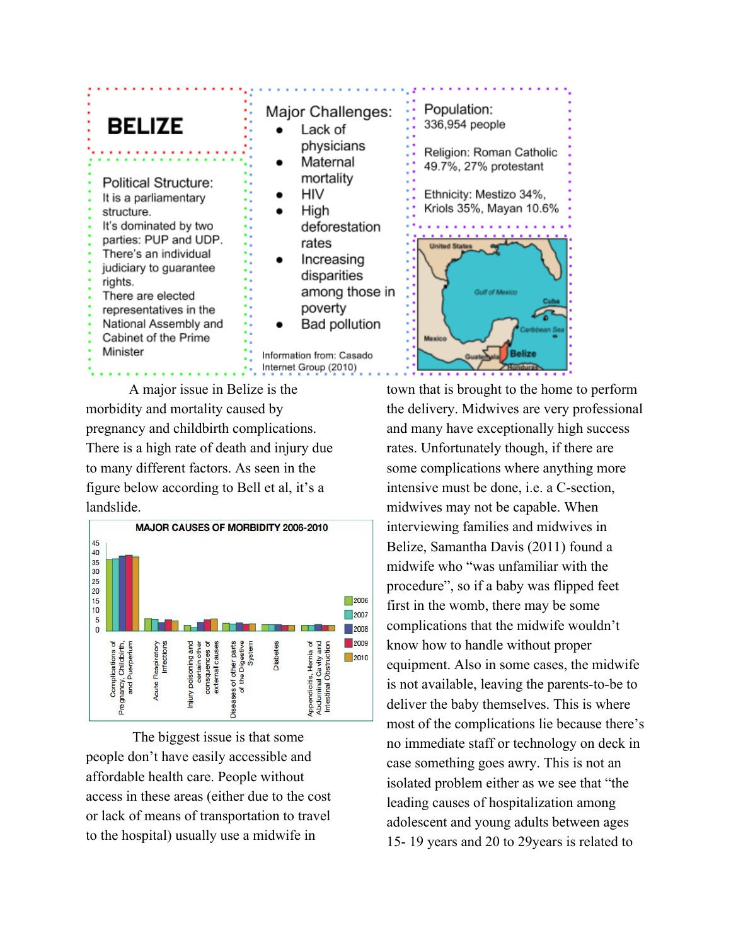# **BELIZE**

**Political Structure:** It is a parliamentary structure. It's dominated by two parties: PUP and UDP. There's an individual judiciary to guarantee rights. There are elected representatives in the National Assembly and Cabinet of the Prime Minister

### Population: Major Challenges:  $\bullet$ Lack of physicians Maternal  $\bullet$ mortality HIV High deforestation rates Increasing  $\bullet$ disparities among those in poverty **Bad pollution** Information from: Casado Internet Group (2010)

A major issue in Belize is the morbidity and mortality caused by pregnancy and childbirth complications. There is a high rate of death and injury due to many different factors. As seen in the figure below according to Bell et al, it's a landslide.



The biggest issue is that some people don't have easily accessible and affordable health care. People without access in these areas (either due to the cost or lack of means of transportation to travel to the hospital) usually use a midwife in



town that is brought to the home to perform the delivery. Midwives are very professional and many have exceptionally high success rates. Unfortunately though, if there are some complications where anything more intensive must be done, i.e. a C-section, midwives may not be capable. When interviewing families and midwives in Belize, Samantha Davis (2011) found a midwife who "was unfamiliar with the procedure", so if a baby was flipped feet first in the womb, there may be some complications that the midwife wouldn't know how to handle without proper equipment. Also in some cases, the midwife is not available, leaving the parents-to-be to deliver the baby themselves. This is where most of the complications lie because there's no immediate staff or technology on deck in case something goes awry. This is not an isolated problem either as we see that "the leading causes of hospitalization among adolescent and young adults between ages 15- 19 years and 20 to 29years is related to